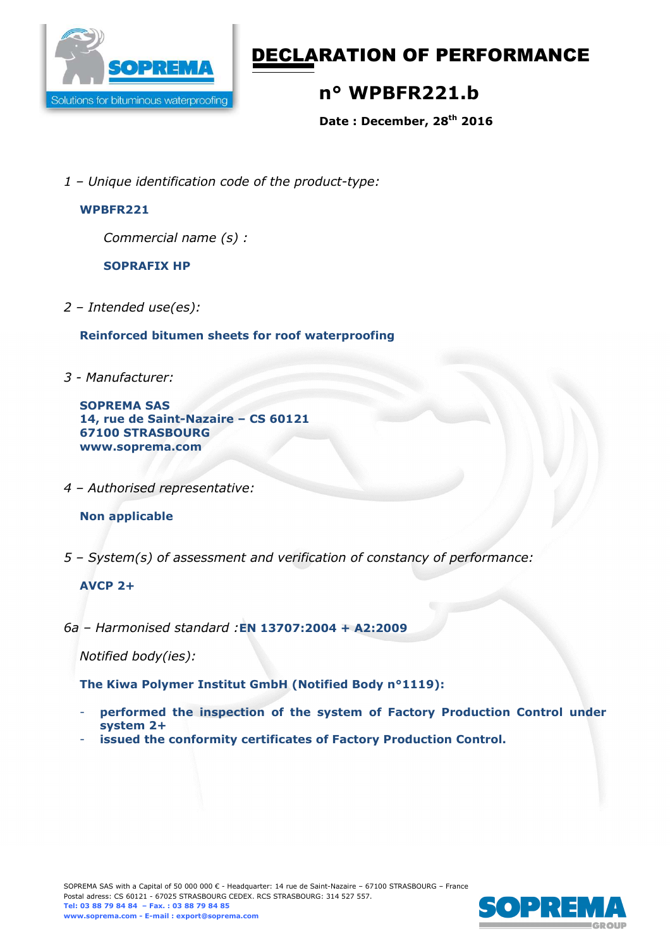

# DECLARATION OF PERFORMANCE

## **n° WPBFR221.b**

**Date : December, 28th 2016** 

*1 – Unique identification code of the product-type:*

#### **WPBFR221**

*Commercial name (s) :* 

**SOPRAFIX HP** 

*2 – Intended use(es):* 

**Reinforced bitumen sheets for roof waterproofing** 

*3 - Manufacturer:* 

**SOPREMA SAS 14, rue de Saint-Nazaire – CS 60121 67100 STRASBOURG www.soprema.com** 

*4 – Authorised representative:* 

### **Non applicable**

*5 – System(s) of assessment and verification of constancy of performance:* 

### **AVCP 2+**

*6a – Harmonised standard :***EN 13707:2004 + A2:2009**

*Notified body(ies):* 

**The Kiwa Polymer Institut GmbH (Notified Body n°1119):** 

- performed the inspection of the system of Factory Production Control under **system 2+**
- issued the conformity certificates of Factory Production Control.